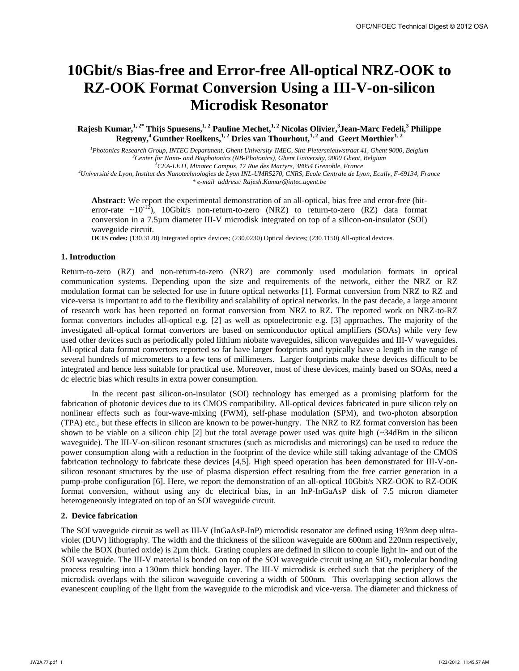# **10Gbit/s Bias-free and Error-free All-optical NRZ-OOK to RZ-OOK Format Conversion Using a III-V-on-silicon Microdisk Resonator**

 $\kappa$ Rajesh Kumar, $^{1,2^*}$  Thijs Spuesens, $^{1,2}$  Pauline Mechet, $^{1,2}$  Nicolas Olivier, $^3$ Jean-Marc Fedeli, $^3$  Philippe Regreny,<sup>4</sup> Gunther Roelkens,<sup>1,2</sup> Dries van Thourhout,<sup>1,2</sup> and Geert Morthier<sup>1,2</sup>

*1 Photonics Research Group, INTEC Department, Ghent University-IMEC, Sint-Pietersnieuwstraat 41, Ghent 9000, Belgium 2* <sup>2</sup> Center for Nano- and Biophotonics (NB-Photonics), Ghent University, 9000 Ghent, Belgium <sup>3</sup> CEA-LETI, Minatec Campus, 17 Rue des Martyrs, 38054 Grenoble, France

*Université de Lyon, Institut des Nanotechnologies de Lyon INL-UMR5270, CNRS, Ecole Centrale de Lyon, Ecully, F-69134, France \* e-mail address: Rajesh.Kumar@intec.ugent.be* 

**Abstract:** We report the experimental demonstration of an all-optical, bias free and error-free (biterror-rate  $\sim 10^{-12}$ ), 10Gbit/s non-return-to-zero (NRZ) to return-to-zero (RZ) data format conversion in a 7.5µm diameter III-V microdisk integrated on top of a silicon-on-insulator (SOI) waveguide circuit.

**OCIS codes:** (130.3120) Integrated optics devices; (230.0230) Optical devices; (230.1150) All-optical devices.

## **1. Introduction**

Return-to-zero (RZ) and non-return-to-zero (NRZ) are commonly used modulation formats in optical communication systems. Depending upon the size and requirements of the network, either the NRZ or RZ modulation format can be selected for use in future optical networks [1]. Format conversion from NRZ to RZ and vice-versa is important to add to the flexibility and scalability of optical networks. In the past decade, a large amount of research work has been reported on format conversion from NRZ to RZ. The reported work on NRZ-to-RZ format convertors includes all-optical e.g. [2] as well as optoelectronic e.g. [3] approaches. The majority of the investigated all-optical format convertors are based on semiconductor optical amplifiers (SOAs) while very few used other devices such as periodically poled lithium niobate waveguides, silicon waveguides and III-V waveguides. All-optical data format convertors reported so far have larger footprints and typically have a length in the range of several hundreds of micrometers to a few tens of millimeters. Larger footprints make these devices difficult to be integrated and hence less suitable for practical use. Moreover, most of these devices, mainly based on SOAs, need a dc electric bias which results in extra power consumption.

In the recent past silicon-on-insulator (SOI) technology has emerged as a promising platform for the fabrication of photonic devices due to its CMOS compatibility. All-optical devices fabricated in pure silicon rely on nonlinear effects such as four-wave-mixing (FWM), self-phase modulation (SPM), and two-photon absorption (TPA) etc., but these effects in silicon are known to be power-hungry. The NRZ to RZ format conversion has been shown to be viable on a silicon chip [2] but the total average power used was quite high (~34dBm in the silicon waveguide). The III-V-on-silicon resonant structures (such as microdisks and microrings) can be used to reduce the power consumption along with a reduction in the footprint of the device while still taking advantage of the CMOS fabrication technology to fabricate these devices [4,5]. High speed operation has been demonstrated for III-V-onsilicon resonant structures by the use of plasma dispersion effect resulting from the free carrier generation in a pump-probe configuration [6]. Here, we report the demonstration of an all-optical 10Gbit/s NRZ-OOK to RZ-OOK format conversion, without using any dc electrical bias, in an InP-InGaAsP disk of 7.5 micron diameter heterogeneously integrated on top of an SOI waveguide circuit.

# **2. Device fabrication**

The SOI waveguide circuit as well as III-V (InGaAsP-InP) microdisk resonator are defined using 193nm deep ultraviolet (DUV) lithography. The width and the thickness of the silicon waveguide are 600nm and 220nm respectively, while the BOX (buried oxide) is  $2\mu$ m thick. Grating couplers are defined in silicon to couple light in- and out of the SOI waveguide. The III-V material is bonded on top of the SOI waveguide circuit using an  $SiO<sub>2</sub>$  molecular bonding process resulting into a 130nm thick bonding layer. The III-V microdisk is etched such that the periphery of the microdisk overlaps with the silicon waveguide covering a width of 500nm. This overlapping section allows the evanescent coupling of the light from the waveguide to the microdisk and vice-versa. The diameter and thickness of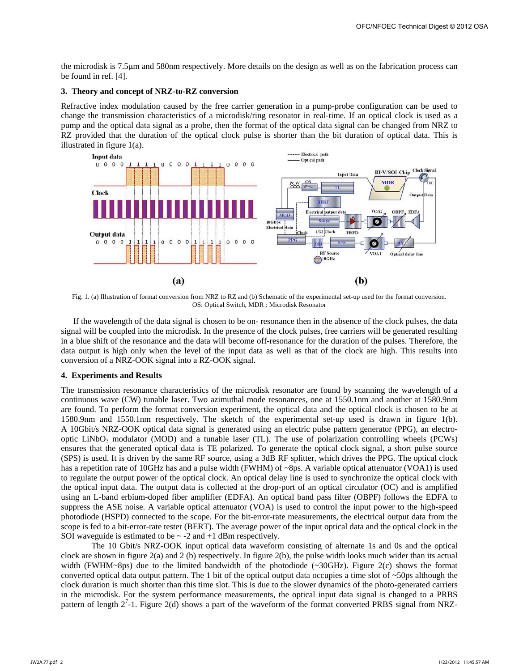the microdisk is 7.5µm and 580nm respectively. More details on the design as well as on the fabrication process can be found in ref. [4].

#### **3. Theory and concept of NRZ-to-RZ conversion**

Refractive index modulation caused by the free carrier generation in a pump-probe configuration can be used to change the transmission characteristics of a microdisk/ring resonator in real-time. If an optical clock is used as a pump and the optical data signal as a probe, then the format of the optical data signal can be changed from NRZ to RZ provided that the duration of the optical clock pulse is shorter than the bit duration of optical data. This is illustrated in figure 1(a).



Fig. 1. (a) Illustration of format conversion from NRZ to RZ and (b) Schematic of the experimental set-up used for the format conversion. OS: Optical Switch, MDR : Microdisk Resonator

If the wavelength of the data signal is chosen to be on- resonance then in the absence of the clock pulses, the data signal will be coupled into the microdisk. In the presence of the clock pulses, free carriers will be generated resulting in a blue shift of the resonance and the data will become off-resonance for the duration of the pulses. Therefore, the data output is high only when the level of the input data as well as that of the clock are high. This results into conversion of a NRZ-OOK signal into a RZ-OOK signal.

#### **4. Experiments and Results**

The transmission resonance characteristics of the microdisk resonator are found by scanning the wavelength of a continuous wave (CW) tunable laser. Two azimuthal mode resonances, one at 1550.1nm and another at 1580.9nm are found. To perform the format conversion experiment, the optical data and the optical clock is chosen to be at 1580.9nm and 1550.1nm respectively. The sketch of the experimental set-up used is drawn in figure 1(b). A 10Gbit/s NRZ-OOK optical data signal is generated using an electric pulse pattern generator (PPG), an electrooptic LiNbO<sub>3</sub> modulator (MOD) and a tunable laser (TL). The use of polarization controlling wheels (PCWs) ensures that the generated optical data is TE polarized. To generate the optical clock signal, a short pulse source (SPS) is used. It is driven by the same RF source, using a 3dB RF splitter, which drives the PPG. The optical clock has a repetition rate of 10GHz has and a pulse width (FWHM) of ~8ps. A variable optical attenuator (VOA1) is used to regulate the output power of the optical clock. An optical delay line is used to synchronize the optical clock with the optical input data. The output data is collected at the drop-port of an optical circulator (OC) and is amplified using an L-band erbium-doped fiber amplifier (EDFA). An optical band pass filter (OBPF) follows the EDFA to suppress the ASE noise. A variable optical attenuator (VOA) is used to control the input power to the high-speed photodiode (HSPD) connected to the scope. For the bit-error-rate measurements, the electrical output data from the scope is fed to a bit-error-rate tester (BERT). The average power of the input optical data and the optical clock in the SOI waveguide is estimated to be  $\sim$  -2 and +1 dBm respectively.

 The 10 Gbit/s NRZ-OOK input optical data waveform consisting of alternate 1s and 0s and the optical clock are shown in figure 2(a) and 2 (b) respectively. In figure 2(b), the pulse width looks much wider than its actual width (FWHM~8ps) due to the limited bandwidth of the photodiode (~30GHz). Figure 2(c) shows the format converted optical data output pattern. The 1 bit of the optical output data occupies a time slot of  $\sim$ 50ps although the clock duration is much shorter than this time slot. This is due to the slower dynamics of the photo-generated carriers in the microdisk. For the system performance measurements, the optical input data signal is changed to a PRBS pattern of length  $2^7$ -1. Figure 2(d) shows a part of the waveform of the format converted PRBS signal from NRZ-